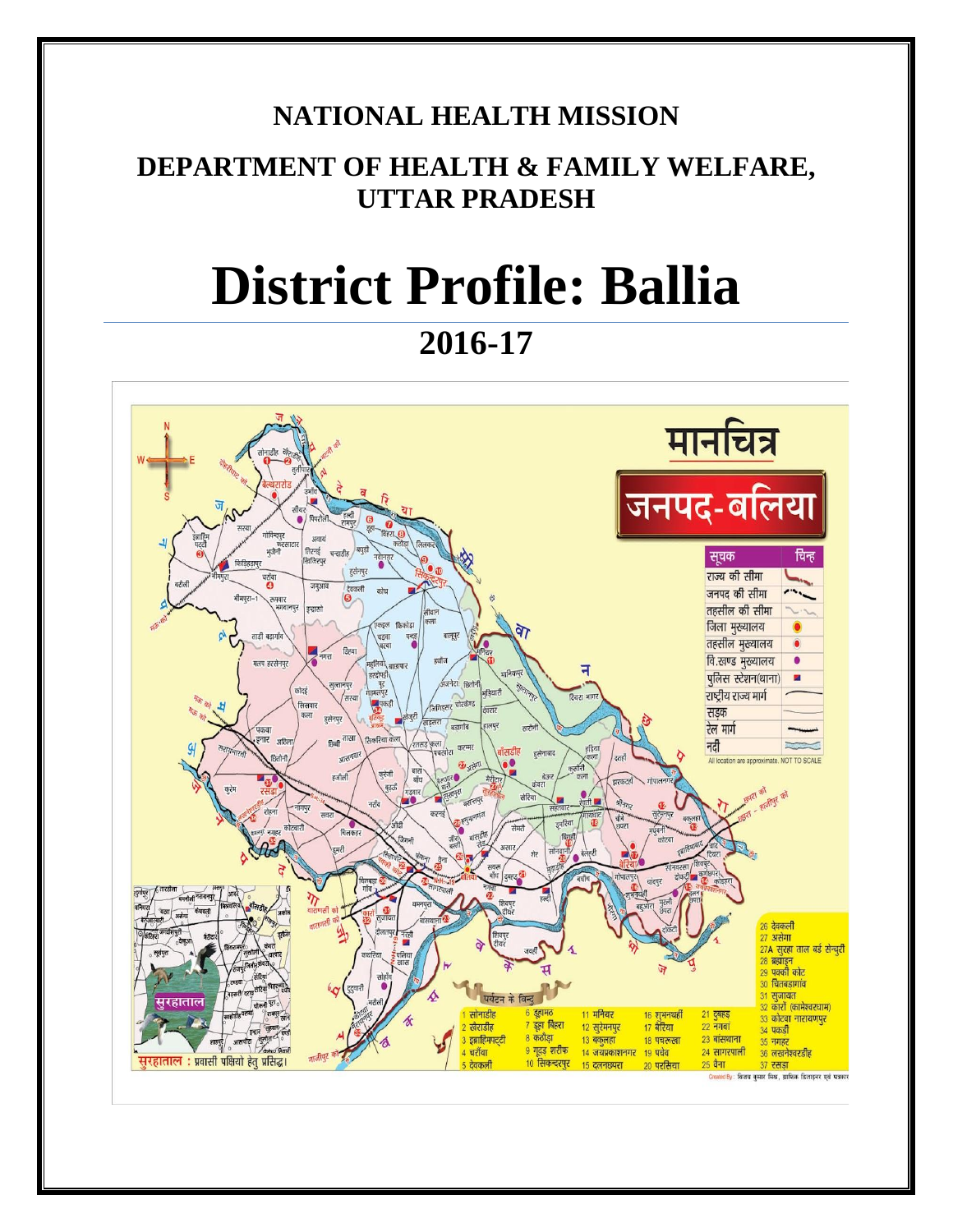# **NATIONAL HEALTH MISSION**

# **DEPARTMENT OF HEALTH & FAMILY WELFARE, UTTAR PRADESH**

# **District Profile: Ballia**

**2016-17**

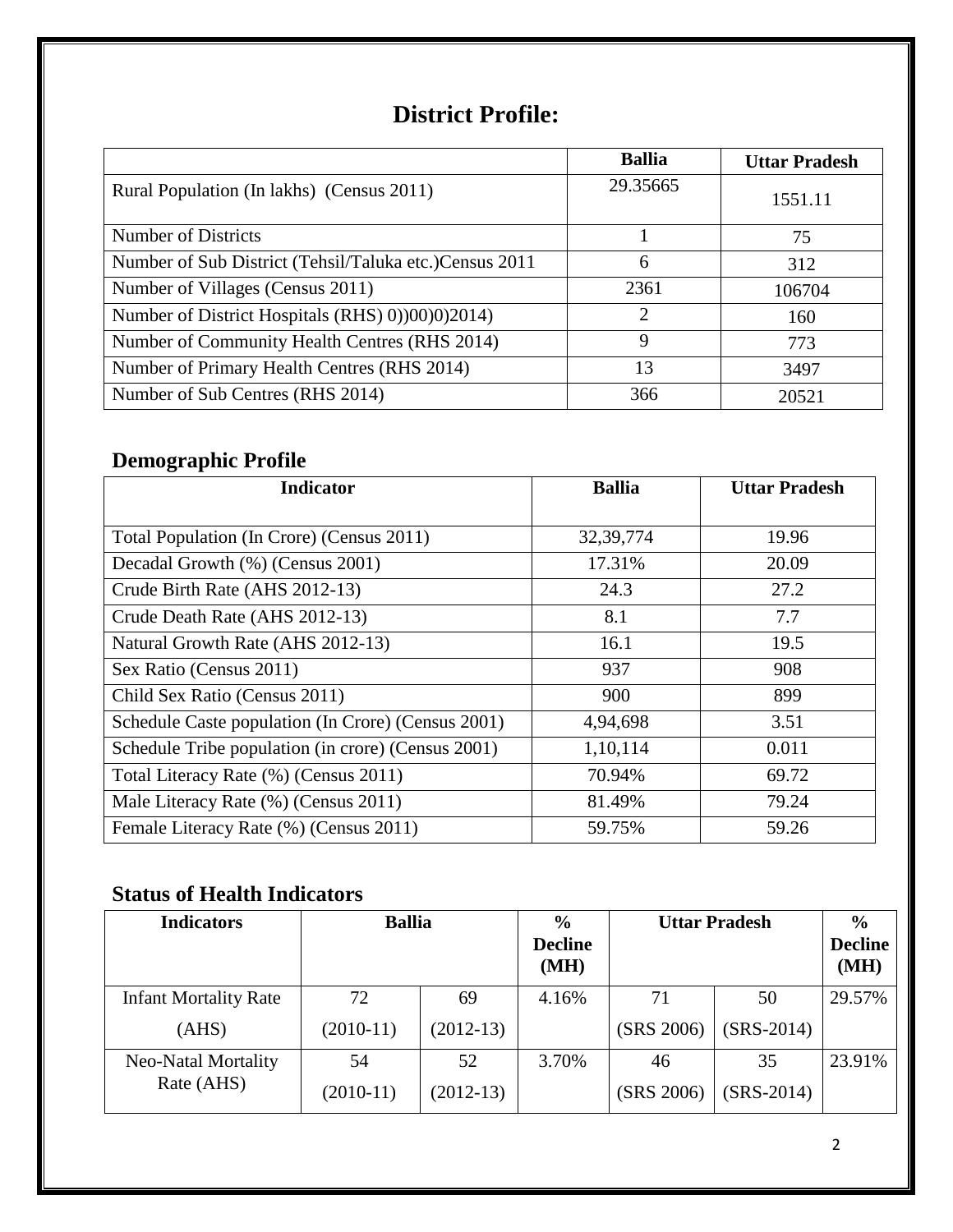# **District Profile:**

|                                                         | <b>Ballia</b> | <b>Uttar Pradesh</b> |
|---------------------------------------------------------|---------------|----------------------|
| Rural Population (In lakhs) (Census 2011)               | 29.35665      | 1551.11              |
| Number of Districts                                     |               | 75                   |
| Number of Sub District (Tehsil/Taluka etc.) Census 2011 | 6             | 312                  |
| Number of Villages (Census 2011)                        | 2361          | 106704               |
| Number of District Hospitals (RHS) 0))00)0)2014)        | 2             | 160                  |
| Number of Community Health Centres (RHS 2014)           | 9             | 773                  |
| Number of Primary Health Centres (RHS 2014)             | 13            | 3497                 |
| Number of Sub Centres (RHS 2014)                        | 366           | 20521                |

# **Demographic Profile**

| <b>Indicator</b>                                   | <b>Ballia</b> | <b>Uttar Pradesh</b> |
|----------------------------------------------------|---------------|----------------------|
|                                                    |               |                      |
| Total Population (In Crore) (Census 2011)          | 32, 39, 774   | 19.96                |
| Decadal Growth (%) (Census 2001)                   | 17.31%        | 20.09                |
| Crude Birth Rate (AHS 2012-13)                     | 24.3          | 27.2                 |
| Crude Death Rate (AHS 2012-13)                     | 8.1           | 7.7                  |
| Natural Growth Rate (AHS 2012-13)                  | 16.1          | 19.5                 |
| Sex Ratio (Census 2011)                            | 937           | 908                  |
| Child Sex Ratio (Census 2011)                      | 900           | 899                  |
| Schedule Caste population (In Crore) (Census 2001) | 4,94,698      | 3.51                 |
| Schedule Tribe population (in crore) (Census 2001) | 1,10,114      | 0.011                |
| Total Literacy Rate (%) (Census 2011)              | 70.94%        | 69.72                |
| Male Literacy Rate (%) (Census 2011)               | 81.49%        | 79.24                |
| Female Literacy Rate (%) (Census 2011)             | 59.75%        | 59.26                |

# **Status of Health Indicators**

| <b>Indicators</b>            | <b>Ballia</b> |             | $\frac{6}{9}$<br><b>Decline</b><br>(MH) | <b>Uttar Pradesh</b> |              | $\%$<br><b>Decline</b><br>(MH) |
|------------------------------|---------------|-------------|-----------------------------------------|----------------------|--------------|--------------------------------|
| <b>Infant Mortality Rate</b> | 72            | 69          | 4.16%                                   | 71                   | 50           | 29.57%                         |
| (AHS)                        | $(2010-11)$   | $(2012-13)$ |                                         | (SRS 2006)           | $(SRS-2014)$ |                                |
| Neo-Natal Mortality          | 54            | 52          | 3.70%                                   | 46                   | 35           | 23.91%                         |
| Rate (AHS)                   | $(2010-11)$   | $(2012-13)$ |                                         | (SRS 2006)           | $(SRS-2014)$ |                                |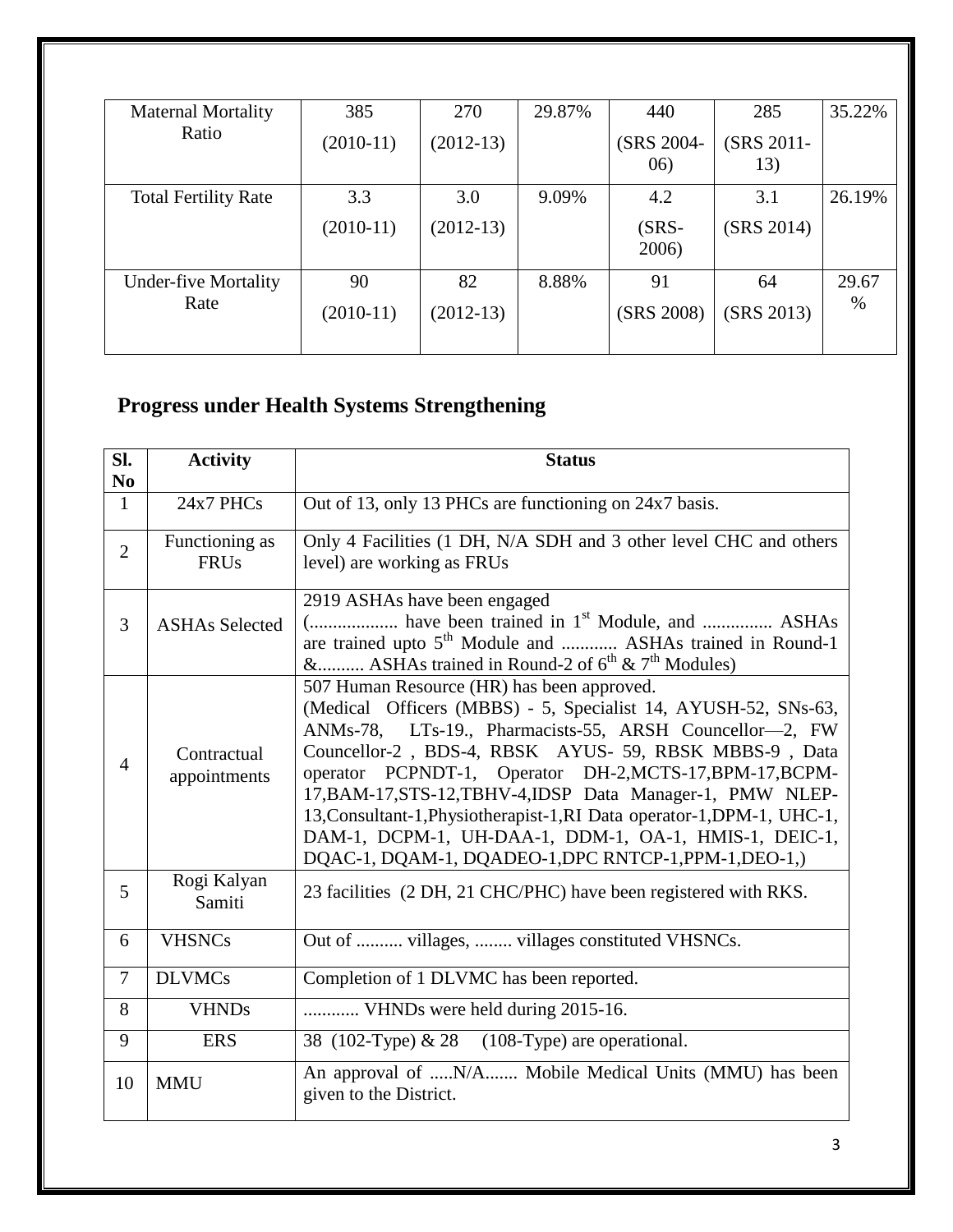| <b>Maternal Mortality</b>   | 385         | 270         | 29.87% | 440               | 285               | 35.22% |
|-----------------------------|-------------|-------------|--------|-------------------|-------------------|--------|
| Ratio                       | $(2010-11)$ | $(2012-13)$ |        | (SRS 2004-<br>06) | (SRS 2011-<br>13) |        |
| <b>Total Fertility Rate</b> | 3.3         | 3.0         | 9.09%  | 4.2               | 3.1               | 26.19% |
|                             | $(2010-11)$ | $(2012-13)$ |        | $(SRS-$<br>2006)  | (SRS 2014)        |        |
| <b>Under-five Mortality</b> | 90          | 82          | 8.88%  | 91                | 64                | 29.67  |
| Rate                        | $(2010-11)$ | $(2012-13)$ |        | (SRS 2008)        | (SRS 2013)        | %      |
|                             |             |             |        |                   |                   |        |

# **Progress under Health Systems Strengthening**

| SI.<br>N <sub>0</sub> | <b>Activity</b>               | <b>Status</b>                                                                                                                                                                                                                                                                                                                                                                                                                                                                                                                                          |
|-----------------------|-------------------------------|--------------------------------------------------------------------------------------------------------------------------------------------------------------------------------------------------------------------------------------------------------------------------------------------------------------------------------------------------------------------------------------------------------------------------------------------------------------------------------------------------------------------------------------------------------|
| $\mathbf{1}$          | 24x7 PHCs                     | Out of 13, only 13 PHCs are functioning on 24x7 basis.                                                                                                                                                                                                                                                                                                                                                                                                                                                                                                 |
| $\overline{2}$        | Functioning as<br><b>FRUs</b> | Only 4 Facilities (1 DH, N/A SDH and 3 other level CHC and others<br>level) are working as FRUs                                                                                                                                                                                                                                                                                                                                                                                                                                                        |
| $\overline{3}$        | <b>ASHAs Selected</b>         | 2919 ASHAs have been engaged<br>( have been trained in 1 <sup>st</sup> Module, and  ASHAs<br>are trained upto 5 <sup>th</sup> Module and  ASHAs trained in Round-1<br>& ASHAs trained in Round-2 of $6^{th}$ & $7^{th}$ Modules)                                                                                                                                                                                                                                                                                                                       |
| $\overline{4}$        | Contractual<br>appointments   | 507 Human Resource (HR) has been approved.<br>(Medical Officers (MBBS) - 5, Specialist 14, AYUSH-52, SNs-63,<br>ANMs-78, LTs-19., Pharmacists-55, ARSH Councellor-2, FW<br>Councellor-2, BDS-4, RBSK AYUS- 59, RBSK MBBS-9, Data<br>operator PCPNDT-1, Operator DH-2, MCTS-17, BPM-17, BCPM-<br>17, BAM-17, STS-12, TBHV-4, IDSP Data Manager-1, PMW NLEP-<br>13, Consultant-1, Physiotherapist-1, RI Data operator-1, DPM-1, UHC-1,<br>DAM-1, DCPM-1, UH-DAA-1, DDM-1, OA-1, HMIS-1, DEIC-1,<br>DQAC-1, DQAM-1, DQADEO-1, DPC RNTCP-1, PPM-1, DEO-1,) |
| 5                     | Rogi Kalyan<br>Samiti         | 23 facilities (2 DH, 21 CHC/PHC) have been registered with RKS.                                                                                                                                                                                                                                                                                                                                                                                                                                                                                        |
| 6                     | <b>VHSNCs</b>                 | Out of  villages,  villages constituted VHSNCs.                                                                                                                                                                                                                                                                                                                                                                                                                                                                                                        |
| $\overline{7}$        | <b>DLVMCs</b>                 | Completion of 1 DLVMC has been reported.                                                                                                                                                                                                                                                                                                                                                                                                                                                                                                               |
| 8                     | <b>VHNDs</b>                  | VHNDs were held during 2015-16.                                                                                                                                                                                                                                                                                                                                                                                                                                                                                                                        |
| 9                     | <b>ERS</b>                    | 38 (102-Type) & 28 (108-Type) are operational.                                                                                                                                                                                                                                                                                                                                                                                                                                                                                                         |
| 10                    | <b>MMU</b>                    | An approval of N/A Mobile Medical Units (MMU) has been<br>given to the District.                                                                                                                                                                                                                                                                                                                                                                                                                                                                       |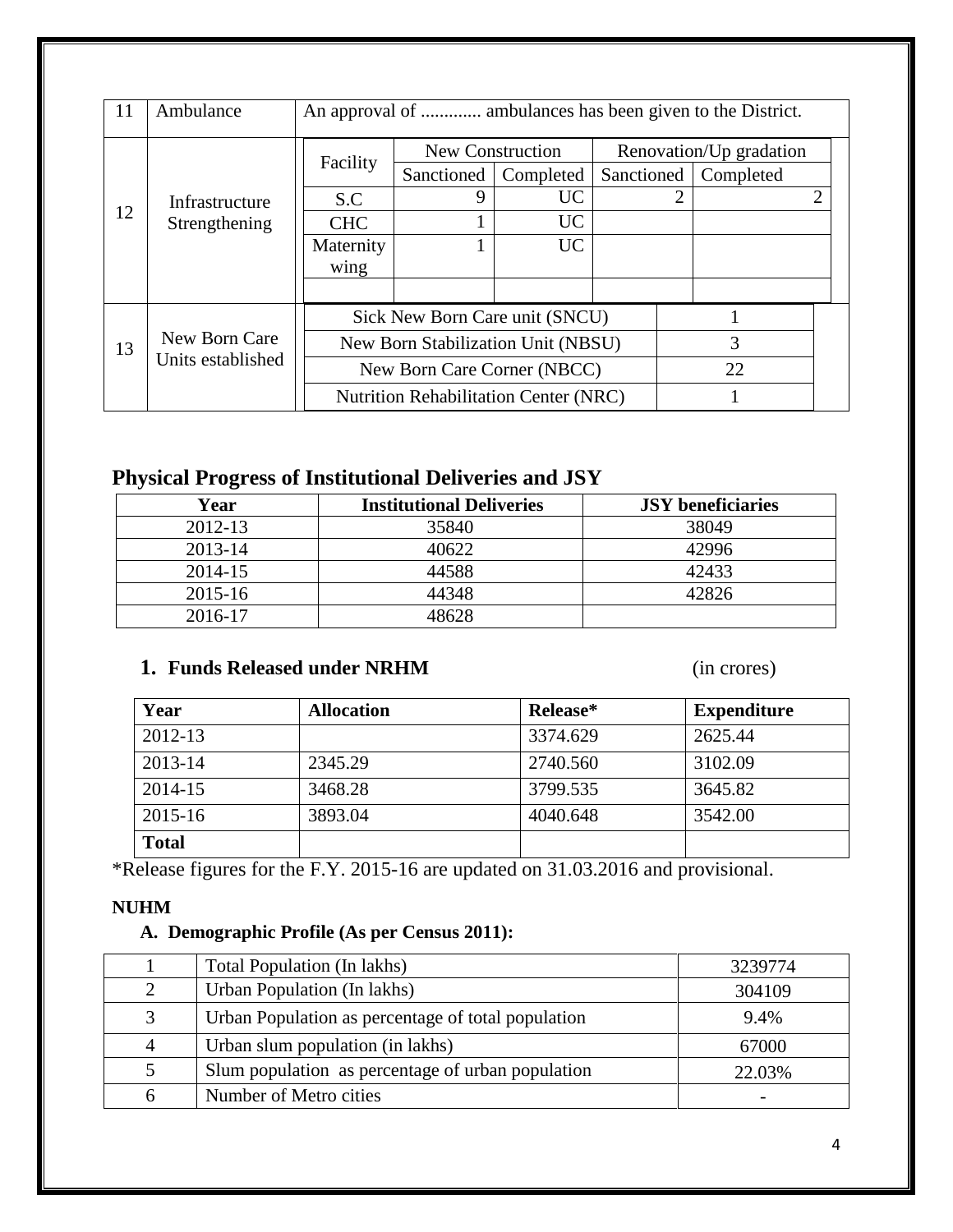| 11                                       | Ambulance      | An approval of  ambulances has been given to the District. |                                    |           |  |                         |                        |   |
|------------------------------------------|----------------|------------------------------------------------------------|------------------------------------|-----------|--|-------------------------|------------------------|---|
|                                          |                |                                                            | New Construction                   |           |  | Renovation/Up gradation |                        |   |
|                                          |                | Facility                                                   | Sanctioned                         | Completed |  |                         | Sanctioned   Completed |   |
|                                          | Infrastructure | S.C                                                        | 9                                  | UC        |  | 2                       |                        | 2 |
| 12                                       | Strengthening  | <b>CHC</b>                                                 |                                    | <b>UC</b> |  |                         |                        |   |
|                                          |                | Maternity                                                  |                                    | UC        |  |                         |                        |   |
|                                          |                | wing                                                       |                                    |           |  |                         |                        |   |
|                                          |                |                                                            |                                    |           |  |                         |                        |   |
|                                          |                | Sick New Born Care unit (SNCU)                             |                                    |           |  |                         |                        |   |
| New Born Care<br>13<br>Units established |                |                                                            | New Born Stabilization Unit (NBSU) |           |  |                         | 3                      |   |
|                                          |                | New Born Care Corner (NBCC)                                |                                    |           |  |                         | 22                     |   |
|                                          |                | <b>Nutrition Rehabilitation Center (NRC)</b>               |                                    |           |  |                         |                        |   |

# **Physical Progress of Institutional Deliveries and JSY**

| Year        | <b>Institutional Deliveries</b> | <b>JSY</b> beneficiaries |
|-------------|---------------------------------|--------------------------|
| $2012 - 13$ | 35840                           | 38049                    |
| 2013-14     | 40622                           | 42996                    |
| 2014-15     | 44588                           | 42433                    |
| 2015-16     | 44348                           | 42826                    |
| 2016-17     | 48628                           |                          |

# **1. Funds Released under NRHM** (in crores)

| Year         | <b>Allocation</b> | Release* | <b>Expenditure</b> |
|--------------|-------------------|----------|--------------------|
| 2012-13      |                   | 3374.629 | 2625.44            |
| 2013-14      | 2345.29           | 2740.560 | 3102.09            |
| 2014-15      | 3468.28           | 3799.535 | 3645.82            |
| 2015-16      | 3893.04           | 4040.648 | 3542.00            |
| <b>Total</b> |                   |          |                    |

\*Release figures for the F.Y. 2015-16 are updated on 31.03.2016 and provisional.

### **NUHM**

## **A. Demographic Profile (As per Census 2011):**

|                | Total Population (In lakhs)                        | 3239774                  |
|----------------|----------------------------------------------------|--------------------------|
| $\overline{2}$ | Urban Population (In lakhs)                        | 304109                   |
| 3              | Urban Population as percentage of total population | 9.4%                     |
| 4              | Urban slum population (in lakhs)                   | 67000                    |
| 5              | Slum population as percentage of urban population  | 22.03%                   |
| 6              | Number of Metro cities                             | $\overline{\phantom{a}}$ |